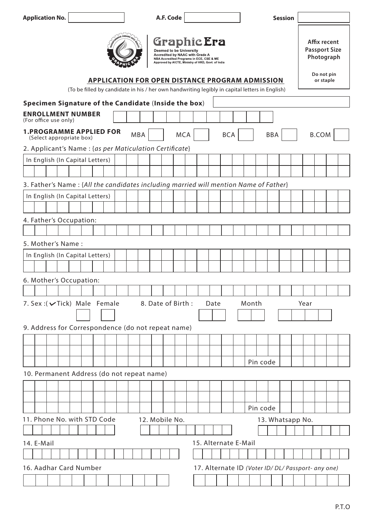| <b>Application No.</b>                                                                                                                                   | A.F. Code               |                                                                                                                                                         | <b>Session</b>   |                                                                  |  |  |  |
|----------------------------------------------------------------------------------------------------------------------------------------------------------|-------------------------|---------------------------------------------------------------------------------------------------------------------------------------------------------|------------------|------------------------------------------------------------------|--|--|--|
|                                                                                                                                                          | Deemed to be University | <b>Graphic Era</b><br>Accredited by NAAC with Grade A<br>NBA Accredited Programs in ECE, CSE & ME<br>Approved by AICTE, Ministry of HRD, Govt. of India |                  | Affix recent<br><b>Passport Size</b><br>Photograph<br>Do not pin |  |  |  |
| <b>APPLICATION FOR OPEN DISTANCE PROGRAM ADMISSION</b><br>(To be filled by candidate in his / her own handwriting legibly in capital letters in English) |                         |                                                                                                                                                         |                  |                                                                  |  |  |  |
| Specimen Signature of the Candidate (Inside the box)                                                                                                     |                         |                                                                                                                                                         |                  |                                                                  |  |  |  |
| <b>ENROLLMENT NUMBER</b><br>(For office use only)                                                                                                        |                         |                                                                                                                                                         |                  |                                                                  |  |  |  |
| <b>1.PROGRAMME APPLIED FOR</b><br>(Select appropriate box)                                                                                               | <b>MBA</b>              | <b>MCA</b><br><b>BCA</b>                                                                                                                                | <b>BBA</b>       | <b>B.COM</b>                                                     |  |  |  |
| 2. Applicant's Name : {as per Maticulation Certificate}                                                                                                  |                         |                                                                                                                                                         |                  |                                                                  |  |  |  |
| In English (In Capital Letters)                                                                                                                          |                         |                                                                                                                                                         |                  |                                                                  |  |  |  |
|                                                                                                                                                          |                         |                                                                                                                                                         |                  |                                                                  |  |  |  |
| 3. Father's Name: {All the candidates including married will mention Name of Father}                                                                     |                         |                                                                                                                                                         |                  |                                                                  |  |  |  |
| In English (In Capital Letters)                                                                                                                          |                         |                                                                                                                                                         |                  |                                                                  |  |  |  |
|                                                                                                                                                          |                         |                                                                                                                                                         |                  |                                                                  |  |  |  |
| 4. Father's Occupation:                                                                                                                                  |                         |                                                                                                                                                         |                  |                                                                  |  |  |  |
|                                                                                                                                                          |                         |                                                                                                                                                         |                  |                                                                  |  |  |  |
| 5. Mother's Name:                                                                                                                                        |                         |                                                                                                                                                         |                  |                                                                  |  |  |  |
| In English (In Capital Letters)                                                                                                                          |                         |                                                                                                                                                         |                  |                                                                  |  |  |  |
|                                                                                                                                                          |                         |                                                                                                                                                         |                  |                                                                  |  |  |  |
| 6. Mother's Occupation:                                                                                                                                  |                         |                                                                                                                                                         |                  |                                                                  |  |  |  |
|                                                                                                                                                          |                         |                                                                                                                                                         |                  |                                                                  |  |  |  |
| 7. Sex: (vTick) Male Female<br>8. Date of Birth:<br>Month<br>Date<br>Year                                                                                |                         |                                                                                                                                                         |                  |                                                                  |  |  |  |
|                                                                                                                                                          |                         |                                                                                                                                                         |                  |                                                                  |  |  |  |
| 9. Address for Correspondence (do not repeat name)                                                                                                       |                         |                                                                                                                                                         |                  |                                                                  |  |  |  |
|                                                                                                                                                          |                         |                                                                                                                                                         |                  |                                                                  |  |  |  |
|                                                                                                                                                          |                         |                                                                                                                                                         |                  |                                                                  |  |  |  |
|                                                                                                                                                          |                         |                                                                                                                                                         | Pin code         |                                                                  |  |  |  |
| 10. Permanent Address (do not repeat name)                                                                                                               |                         |                                                                                                                                                         |                  |                                                                  |  |  |  |
|                                                                                                                                                          |                         |                                                                                                                                                         |                  |                                                                  |  |  |  |
|                                                                                                                                                          |                         |                                                                                                                                                         |                  |                                                                  |  |  |  |
|                                                                                                                                                          |                         |                                                                                                                                                         | Pin code         |                                                                  |  |  |  |
| 11. Phone No. with STD Code                                                                                                                              | 12. Mobile No.          |                                                                                                                                                         | 13. Whatsapp No. |                                                                  |  |  |  |
|                                                                                                                                                          |                         |                                                                                                                                                         |                  |                                                                  |  |  |  |
| 14. E-Mail                                                                                                                                               |                         | 15. Alternate E-Mail                                                                                                                                    |                  |                                                                  |  |  |  |
|                                                                                                                                                          |                         |                                                                                                                                                         |                  |                                                                  |  |  |  |
| 16. Aadhar Card Number<br>17. Alternate ID (Voter ID/ DL/ Passport- any one)                                                                             |                         |                                                                                                                                                         |                  |                                                                  |  |  |  |
|                                                                                                                                                          |                         |                                                                                                                                                         |                  |                                                                  |  |  |  |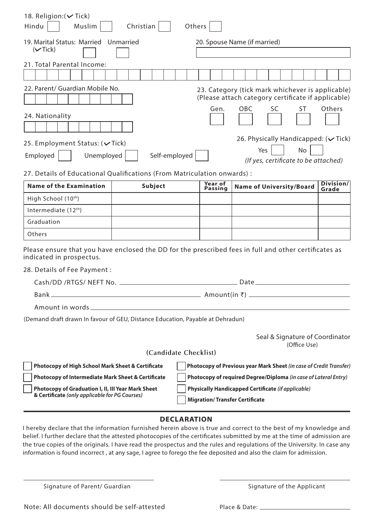| 18. Religion: ( <del>V</del> Tick)<br>Hindu<br>Muslim                                                                                                                                               | Christian             | Others         |                                                                                                                            |              |           |  |
|-----------------------------------------------------------------------------------------------------------------------------------------------------------------------------------------------------|-----------------------|----------------|----------------------------------------------------------------------------------------------------------------------------|--------------|-----------|--|
| 19. Marital Status: Married Unmarried<br>$(\vee$ Tick)                                                                                                                                              |                       |                | 20. Spouse Name (if married)                                                                                               |              |           |  |
| 21. Total Parental Income:                                                                                                                                                                          |                       |                |                                                                                                                            |              |           |  |
| 22. Parent/ Guardian Mobile No.<br>24. Nationality                                                                                                                                                  |                       | Gen.           | 23. Category (tick mark whichever is applicable)<br>(Please attach category certificate if applicable)<br><b>OBC</b><br>SC | ST           | Others    |  |
| 25. Employment Status: (√Tick)<br>Unemployed<br>Employed                                                                                                                                            | Self-employed         |                | 26. Physically Handicapped: $(\vee$ Tick)<br>Yes<br>(If yes, certificate to be attached)                                   | No           |           |  |
| 27. Details of Educational Qualifications (From Matriculation onwards) :<br><b>Name of the Examination</b>                                                                                          | Subject               | Year of        | <b>Name of University/Board</b>                                                                                            |              | Division/ |  |
| High School (10th)                                                                                                                                                                                  |                       | <b>Passing</b> |                                                                                                                            |              | Grade     |  |
| Intermediate (12 <sup>th</sup> )                                                                                                                                                                    |                       |                |                                                                                                                            |              |           |  |
| Graduation                                                                                                                                                                                          |                       |                |                                                                                                                            |              |           |  |
| Others                                                                                                                                                                                              |                       |                |                                                                                                                            |              |           |  |
| Please ensure that you have enclosed the DD for the prescribed fees in full and other certificates as<br>indicated in prospectus.                                                                   |                       |                |                                                                                                                            |              |           |  |
| 28. Details of Fee Payment :                                                                                                                                                                        |                       |                |                                                                                                                            |              |           |  |
|                                                                                                                                                                                                     |                       |                | Date                                                                                                                       |              |           |  |
| Bank <sub>-</sub>                                                                                                                                                                                   |                       |                |                                                                                                                            |              |           |  |
|                                                                                                                                                                                                     |                       |                |                                                                                                                            |              |           |  |
| (Demand draft drawn In favour of GEU, Distance Education, Payable at Dehradun)                                                                                                                      |                       |                | Seal & Signature of Coordinator                                                                                            | (Office Use) |           |  |
|                                                                                                                                                                                                     | (Candidate Checklist) |                |                                                                                                                            |              |           |  |
| Photocopy of High School Mark Sheet & Certificate                                                                                                                                                   |                       |                | Photocopy of Previous year Mark Sheet (in case of Credit Transfer)                                                         |              |           |  |
| <b>Photocopy of Intermediate Mark Sheet &amp; Certificate</b>                                                                                                                                       |                       |                | Photocopy of required Degree/Diploma (in case of Lateral Entry)                                                            |              |           |  |
| Physically Handicapped Certificate (if applicable)<br>Photocopy of Graduation I, II, III Year Mark Sheet<br>& Certificate (only applicable for PG Courses)<br><b>Migration/Transfer Certificate</b> |                       |                |                                                                                                                            |              |           |  |
|                                                                                                                                                                                                     |                       |                |                                                                                                                            |              |           |  |

## **DECLARATION**

I hereby declare that the information furnished herein above is true and correct to the best of my knowledge and belief. I further declare that the attested photocopies of the certificates submitted by me at the time of admission are the true copies of the originals. I have read the prospectus and the rules and regulations of the University. In case any information is found incorrect , at any sage, I agree to forego the fee deposited and also the claim for admission.

Signature of Parent/ Guardian

Signature of the Applicant

Place & Date: \_\_\_\_\_\_\_\_\_\_